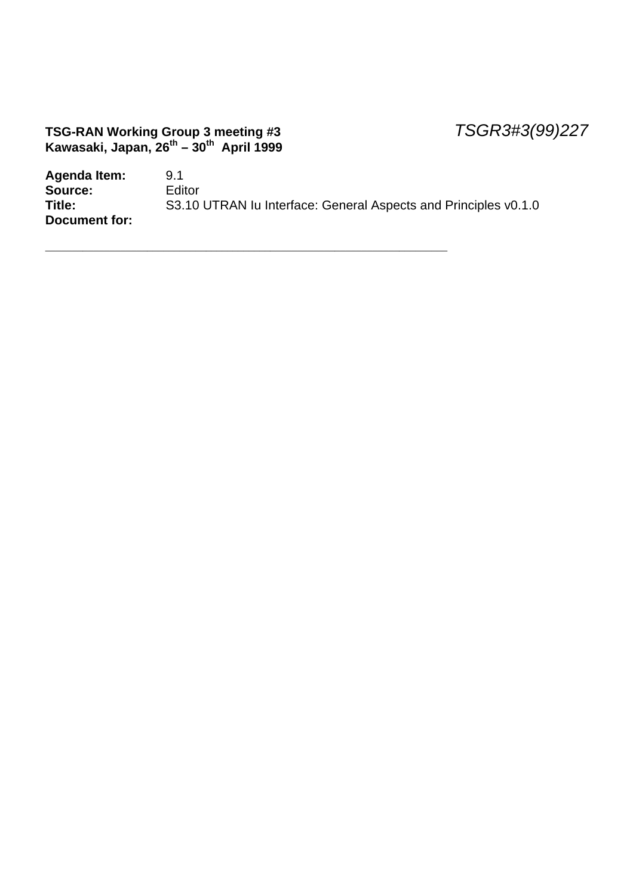#### **TSG-RAN Working Group 3 meeting #3** *TSGR3#3(99)227* **Kawasaki, Japan, 26th – 30th April 1999**

| Agenda Item:  | 9.1                                                             |
|---------------|-----------------------------------------------------------------|
| Source:       | <b>Editor</b>                                                   |
| Title:        | S3.10 UTRAN Iu Interface: General Aspects and Principles v0.1.0 |
| Document for: |                                                                 |

\_\_\_\_\_\_\_\_\_\_\_\_\_\_\_\_\_\_\_\_\_\_\_\_\_\_\_\_\_\_\_\_\_\_\_\_\_\_\_\_\_\_\_\_\_\_\_\_\_\_\_\_\_\_\_\_\_\_\_\_\_\_\_\_\_\_\_\_\_\_\_\_\_\_\_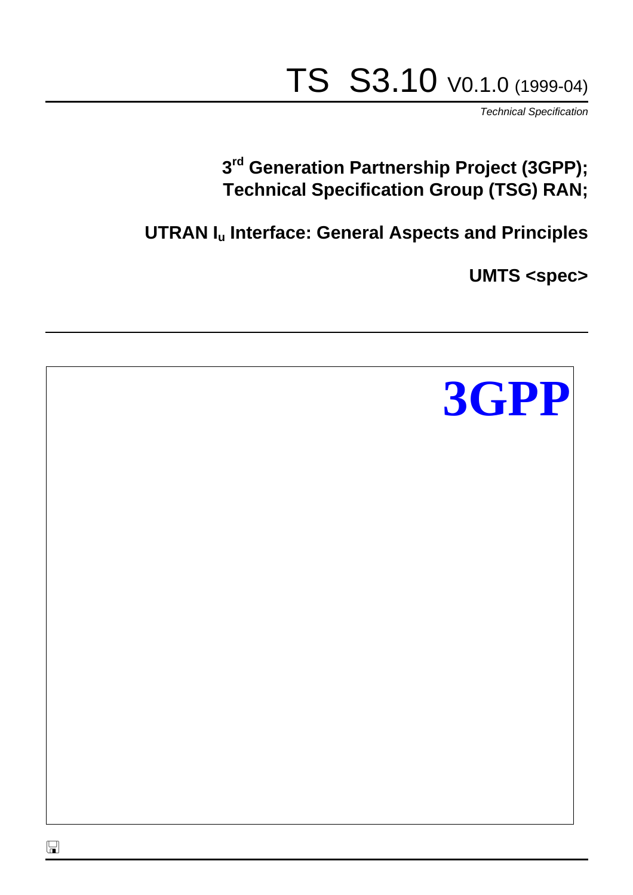# TS S3.10 V0.1.0 (1999-04)

*Technical Specification*

# **3 rd Generation Partnership Project (3GPP); Technical Specification Group (TSG) RAN;**

**UTRAN Iu Interface: General Aspects and Principles**

**UMTS <spec>**

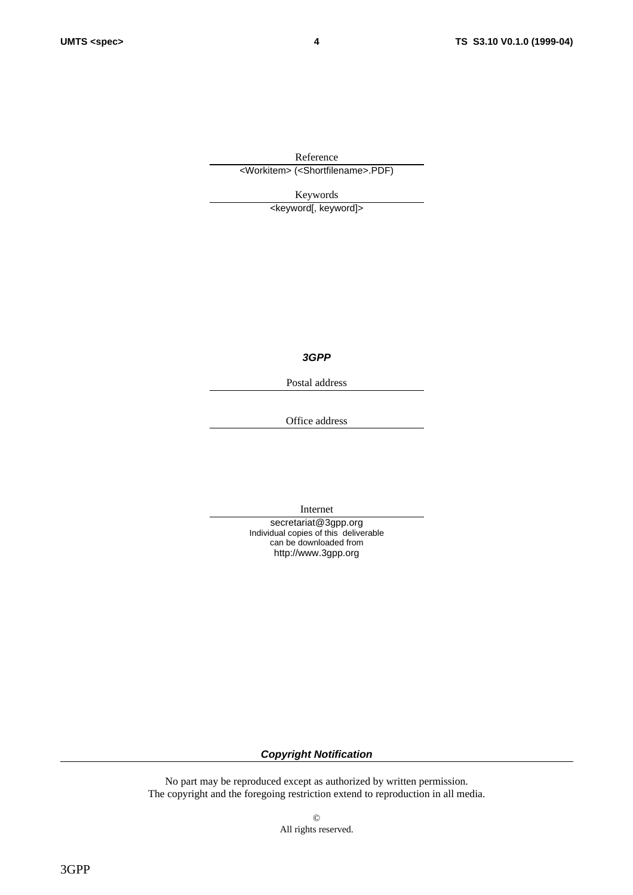Reference <Workitem> (<Shortfilename>.PDF)

Keywords <keyword[, keyword]>

*3GPP*

Postal address

Office address

Internet

secretariat@3gpp.org Individual copies of this deliverable can be downloaded from http://www.3gpp.org

*Copyright Notification*

No part may be reproduced except as authorized by written permission. The copyright and the foregoing restriction extend to reproduction in all media.

> © All rights reserved.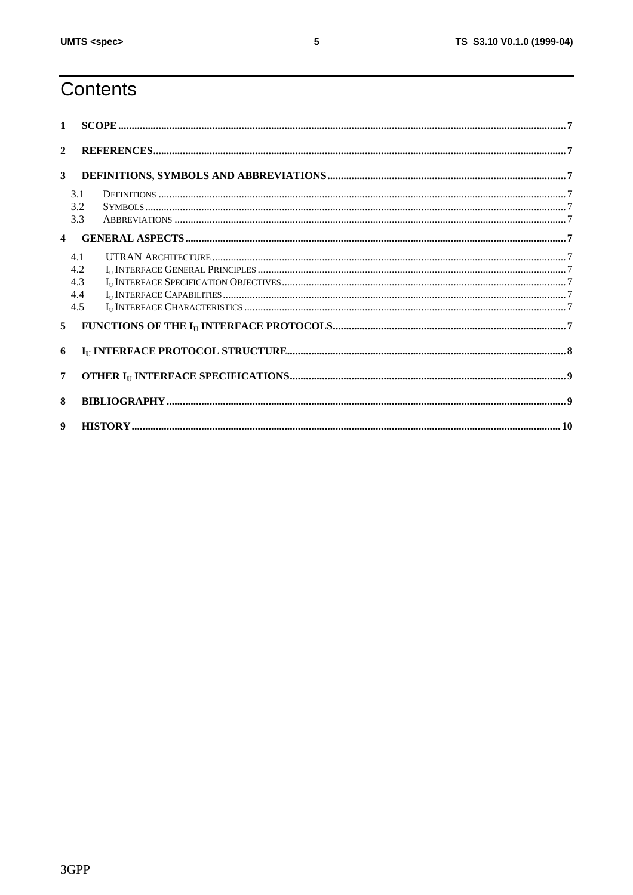# Contents

| $\mathbf{1}$            |                                 |                                                                                                                                                                                                                                                                                                                                                                                                       |  |  |  |
|-------------------------|---------------------------------|-------------------------------------------------------------------------------------------------------------------------------------------------------------------------------------------------------------------------------------------------------------------------------------------------------------------------------------------------------------------------------------------------------|--|--|--|
| $\overline{2}$          |                                 |                                                                                                                                                                                                                                                                                                                                                                                                       |  |  |  |
| 3 <sup>1</sup>          |                                 |                                                                                                                                                                                                                                                                                                                                                                                                       |  |  |  |
|                         | 3.1<br>3.2<br>3.3               |                                                                                                                                                                                                                                                                                                                                                                                                       |  |  |  |
| $\overline{\mathbf{4}}$ |                                 |                                                                                                                                                                                                                                                                                                                                                                                                       |  |  |  |
|                         | 4.1<br>4.2<br>4.3<br>4.4<br>4.5 |                                                                                                                                                                                                                                                                                                                                                                                                       |  |  |  |
| 5 <sup>1</sup>          |                                 | $\textbf{FUNCTIONS} \textbf{ OF THE I}_\text{U}\textbf{ INTERFACE PROTOCOLS} \textbf{} \textbf{} \textbf{} \textbf{} \textbf{} \textbf{} \textbf{} \textbf{} \textbf{} \textbf{} \textbf{} \textbf{} \textbf{} \textbf{} \textbf{} \textbf{} \textbf{} \textbf{} \textbf{} \textbf{} \textbf{} \textbf{} \textbf{} \textbf{} \textbf{} \textbf{} \textbf{} \textbf{} \textbf{} \textbf{} \textbf{} \$ |  |  |  |
| 6                       |                                 |                                                                                                                                                                                                                                                                                                                                                                                                       |  |  |  |
| 7                       |                                 |                                                                                                                                                                                                                                                                                                                                                                                                       |  |  |  |
| 8                       |                                 |                                                                                                                                                                                                                                                                                                                                                                                                       |  |  |  |
| $\boldsymbol{q}$        |                                 |                                                                                                                                                                                                                                                                                                                                                                                                       |  |  |  |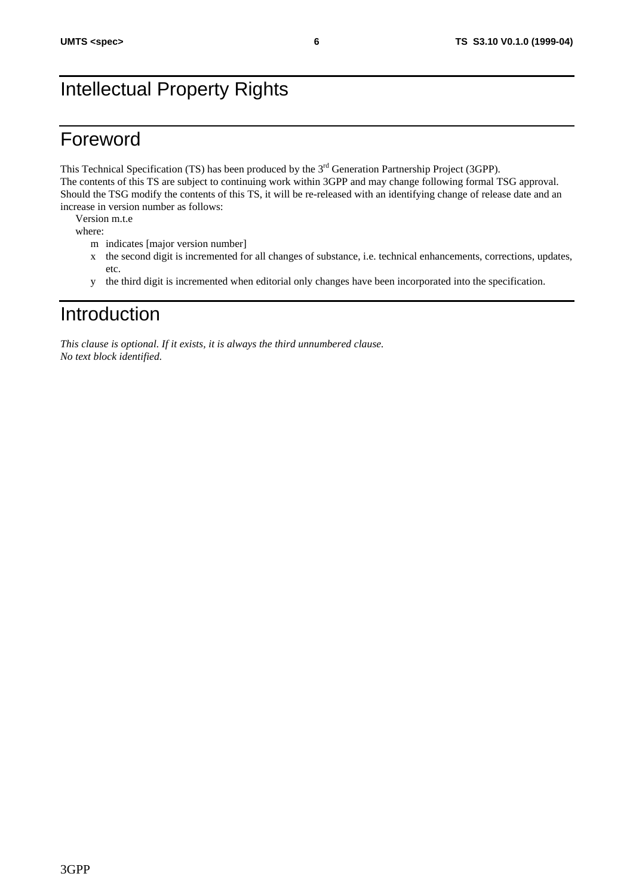# Intellectual Property Rights

## Foreword

This Technical Specification (TS) has been produced by the 3<sup>rd</sup> Generation Partnership Project (3GPP). The contents of this TS are subject to continuing work within 3GPP and may change following formal TSG approval. Should the TSG modify the contents of this TS, it will be re-released with an identifying change of release date and an increase in version number as follows:

Version m.t.e

where:

- m indicates [major version number]
- x the second digit is incremented for all changes of substance, i.e. technical enhancements, corrections, updates, etc.
- y the third digit is incremented when editorial only changes have been incorporated into the specification.

## Introduction

*This clause is optional. If it exists, it is always the third unnumbered clause. No text block identified.*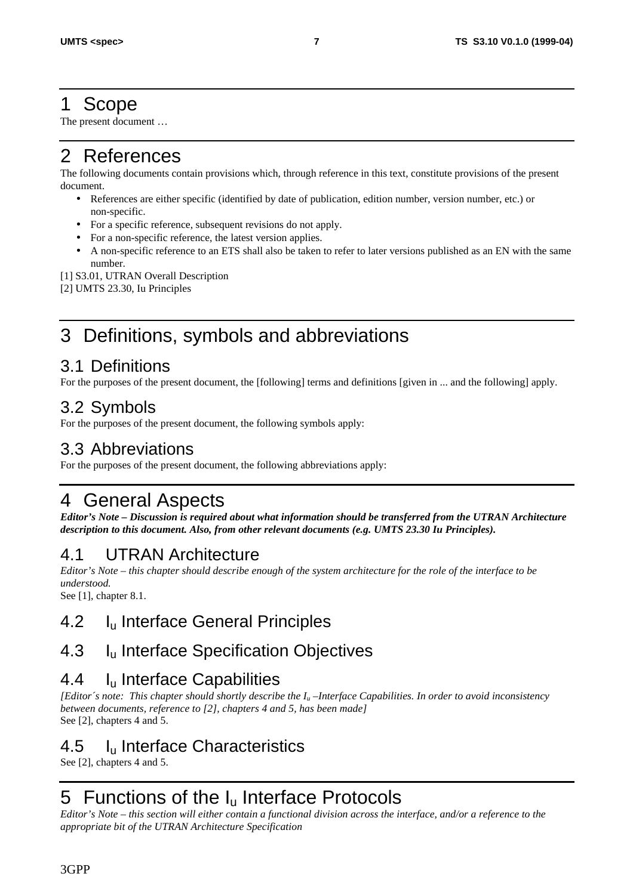## 1 Scope

The present document …

## 2 References

The following documents contain provisions which, through reference in this text, constitute provisions of the present document.

- References are either specific (identified by date of publication, edition number, version number, etc.) or non-specific.
- For a specific reference, subsequent revisions do not apply.
- For a non-specific reference, the latest version applies.
- A non-specific reference to an ETS shall also be taken to refer to later versions published as an EN with the same number.

[1] S3.01, UTRAN Overall Description

[2] UMTS 23.30, Iu Principles

# 3 Definitions, symbols and abbreviations

#### 3.1 Definitions

For the purposes of the present document, the [following] terms and definitions [given in ... and the following] apply.

#### 3.2 Symbols

For the purposes of the present document, the following symbols apply:

#### 3.3 Abbreviations

For the purposes of the present document, the following abbreviations apply:

# 4 General Aspects

*Editor's Note – Discussion is required about what information should be transferred from the UTRAN Architecture description to this document. Also, from other relevant documents (e.g. UMTS 23.30 Iu Principles).*

## 4.1 UTRAN Architecture

*Editor's Note – this chapter should describe enough of the system architecture for the role of the interface to be understood.*

See [1], chapter 8.1.

## 4.2 I<sub>u</sub> Interface General Principles

## 4.3 I<sub>u</sub> Interface Specification Objectives

#### 4.4 Iu Interface Capabilities

*[Editor´s note: This chapter should shortly describe the Iu –Interface Capabilities. In order to avoid inconsistency between documents, reference to [2], chapters 4 and 5, has been made]* See [2], chapters 4 and 5.

## 4.5 I<sub>u</sub> Interface Characteristics

See [2], chapters 4 and 5.

# 5 Functions of the I<sub>u</sub> Interface Protocols

*Editor's Note – this section will either contain a functional division across the interface, and/or a reference to the appropriate bit of the UTRAN Architecture Specification*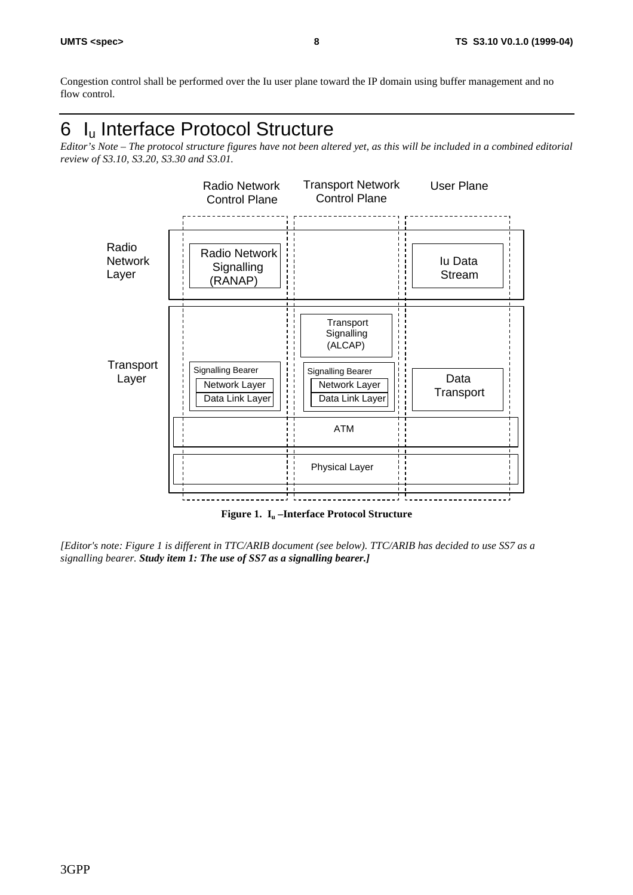Congestion control shall be performed over the Iu user plane toward the IP domain using buffer management and no flow control.

# 6 I<sub>u</sub> Interface Protocol Structure

*Editor's Note – The protocol structure figures have not been altered yet, as this will be included in a combined editorial review of S3.10, S3.20, S3.30 and S3.01.*



**Figure 1. Iu –Interface Protocol Structure**

*[Editor's note: Figure 1 is different in TTC/ARIB document (see below). TTC/ARIB has decided to use SS7 as a signalling bearer. Study item 1: The use of SS7 as a signalling bearer.]*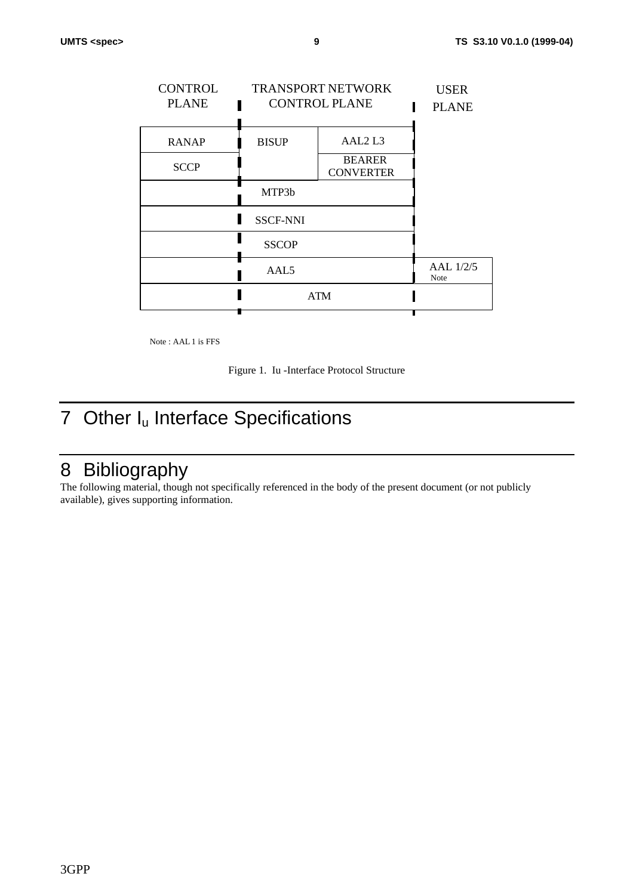| <b>CONTROL</b><br><b>PLANE</b> | <b>TRANSPORT NETWORK</b><br><b>CONTROL PLANE</b> |                                   | <b>USER</b><br><b>PLANE</b> |
|--------------------------------|--------------------------------------------------|-----------------------------------|-----------------------------|
| <b>RANAP</b>                   | <b>BISUP</b>                                     | AAL <sub>2</sub> L <sub>3</sub>   |                             |
| <b>SCCP</b>                    |                                                  | <b>BEARER</b><br><b>CONVERTER</b> |                             |
|                                | MTP3b                                            |                                   |                             |
|                                | <b>SSCF-NNI</b>                                  |                                   |                             |
|                                | <b>SSCOP</b>                                     |                                   |                             |
|                                | AAL5                                             |                                   | AAL 1/2/5<br>Note           |
|                                | <b>ATM</b>                                       |                                   |                             |
|                                |                                                  |                                   |                             |

Note : AAL 1 is FFS

Figure 1. Iu -Interface Protocol Structure

# 7 Other I<sub>u</sub> Interface Specifications

## 8 Bibliography

The following material, though not specifically referenced in the body of the present document (or not publicly available), gives supporting information.